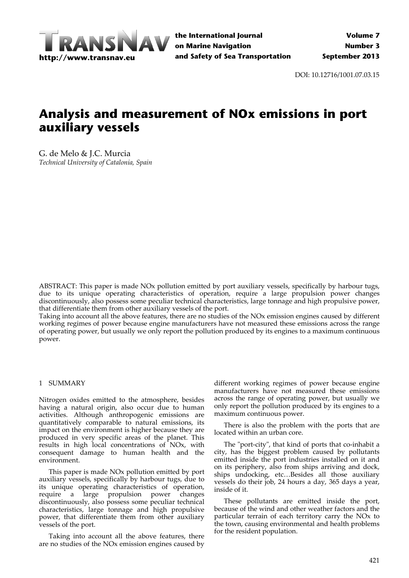

DOI: 10.12716/1001.07.03.15

# **Analysis and measurement of NOx emissions in port auxiliary vessels**

G. de Melo & J.C. Murcia *Technical University of Catalonia, Spain*

ABSTRACT: This paper is made NOx pollution emitted by port auxiliary vessels, specifically by harbour tugs, due to its unique operating characteristics of operation, require a large propulsion power changes discontinuously, also possess some peculiar technical characteristics, large tonnage and high propulsive power, that differentiate them from other auxiliary vessels of the port.

Taking into account all the above features, there are no studies of the NOx emission engines caused by different working regimes of power because engine manufacturers have not measured these emissions across the range of operating power, but usually we only report the pollution produced by its engines to a maximum continuous power.

#### 1 SUMMARY

Nitrogen oxides emitted to the atmosphere, besides having a natural origin, also occur due to human activities. Although anthropogenic emissions are quantitatively comparable to natural emissions, its impact on the environment is higher because they are produced in very specific areas of the planet. This results in high local concentrations of NOx, with consequent damage to human health and the environment.

This paper is made NOx pollution emitted by port auxiliary vessels, specifically by harbour tugs, due to its unique operating characteristics of operation, require a large propulsion power changes discontinuously, also possess some peculiar technical characteristics, large tonnage and high propulsive power, that differentiate them from other auxiliary vessels of the port.

Taking into account all the above features, there are no studies of the NOx emission engines caused by different working regimes of power because engine manufacturers have not measured these emissions across the range of operating power, but usually we only report the pollution produced by its engines to a maximum continuous power.

There is also the problem with the ports that are located within an urban core.

The "port-city", that kind of ports that co-inhabit a city, has the biggest problem caused by pollutants emitted inside the port industries installed on it and on its periphery, also from ships arriving and dock, ships undocking, etc…Besides all those auxiliary vessels do their job, 24 hours a day, 365 days a year, inside of it.

These pollutants are emitted inside the port, because of the wind and other weather factors and the particular terrain of each territory carry the NOx to the town, causing environmental and health problems for the resident population.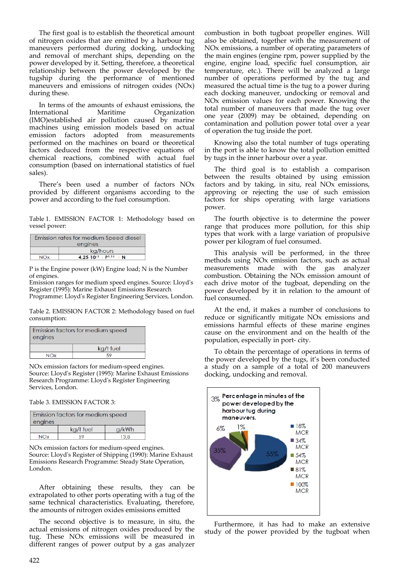The first goal is to establish the theoretical amount of nitrogen oxides that are emitted by a harbour tug maneuvers performed during docking, undocking and removal of merchant ships, depending on the power developed by it. Setting, therefore, a theoretical relationship between the power developed by the tugship during the performance of mentioned maneuvers and emissions of nitrogen oxides (NOx) during these.

In terms of the amounts of exhaust emissions, the International Maritime Organization (IMO)established air pollution caused by marine machines using emission models based on actual emission factors adopted from measurements performed on the machines on board or theoretical factors deduced from the respective equations of chemical reactions, combined with actual fuel consumption (based on international statistics of fuel sales).

There's been used a number of factors NOx provided by different organisms according to the power and according to the fuel consumption.

Table 1. EMISSION FACTOR 1: Methodology based on vessel power:

| Emission rates for medium Speed diesel |                                              |  |  |
|----------------------------------------|----------------------------------------------|--|--|
| engines                                |                                              |  |  |
|                                        | kg/hours                                     |  |  |
| NOx                                    | $4.25 \cdot 10^{-3}$ · P <sub>1,15</sub> · N |  |  |

P is the Engine power (kW) Engine load; N is the Number of engines.

Emission ranges for medium speed engines. Source: Lloydʹs Register (1995): Marine Exhaust Emissions Research Programme: Lloydʹs Register Engineering Services, London.

Table 2. EMISSION FACTOR 2: Methodology based on fuel consumption:

| Emission factors for medium speed<br>engines |  |  |  |
|----------------------------------------------|--|--|--|
| kg/t fuel                                    |  |  |  |
| N∩x                                          |  |  |  |

NOx emission factors for medium‐speed engines. Source: Lloydʹs Register (1995): Marine Exhaust Emissions Research Programme: Lloydʹs Register Engineering Services, London.

Table 3. EMISSION FACTOR 3:

| Emission factors for medium speed |            |  |  |  |
|-----------------------------------|------------|--|--|--|
| engines                           |            |  |  |  |
| kg/t fuel<br>a/kWh                |            |  |  |  |
| <b>NO</b> <sub>Y</sub>            | 13.8<br>59 |  |  |  |

NOx emission factors for medium‐speed engines. Source: Lloydʹs Register of Shipping (1990): Marine Exhaust Emissions Research Programme: Steady State Operation, London.

After obtaining these results, they can be extrapolated to other ports operating with a tug of the same technical characteristics. Evaluating, therefore, the amounts of nitrogen oxides emissions emitted

The second objective is to measure, in situ, the actual emissions of nitrogen oxides produced by the tug. These NOx emissions will be measured in different ranges of power output by a gas analyzer

combustion in both tugboat propeller engines. Will also be obtained, together with the measurement of NOx emissions, a number of operating parameters of the main engines (engine rpm, power supplied by the engine, engine load, specific fuel consumption, air temperature, etc.). There will be analyzed a large number of operations performed by the tug and measured the actual time is the tug to a power during each docking maneuver, undocking or removal and NOx emission values for each power. Knowing the total number of maneuvers that made the tug over one year (2009) may be obtained, depending on contamination and pollution power total over a year of operation the tug inside the port.

Knowing also the total number of tugs operating in the port is able to know the total pollution emitted by tugs in the inner harbour over a year.

The third goal is to establish a comparison between the results obtained by using emission factors and by taking, in situ, real NOx emissions, approving or rejecting the use of such emission factors for ships operating with large variations power.

The fourth objective is to determine the power range that produces more pollution, for this ship types that work with a large variation of propulsive power per kilogram of fuel consumed.

This analysis will be performed, in the three methods using NOx emission factors, such as actual measurements made with the gas analyzer combustion. Obtaining the NOx emission amount of each drive motor of the tugboat, depending on the power developed by it in relation to the amount of fuel consumed.

At the end, it makes a number of conclusions to reduce or significantly mitigate NOx emissions and emissions harmful effects of these marine engines cause on the environment and on the health of the population, especially in port‐ city.

To obtain the percentage of operations in terms of the power developed by the tugs, it's been conducted a study on a sample of a total of 200 maneuvers docking, undocking and removal.



Furthermore, it has had to make an extensive study of the power provided by the tugboat when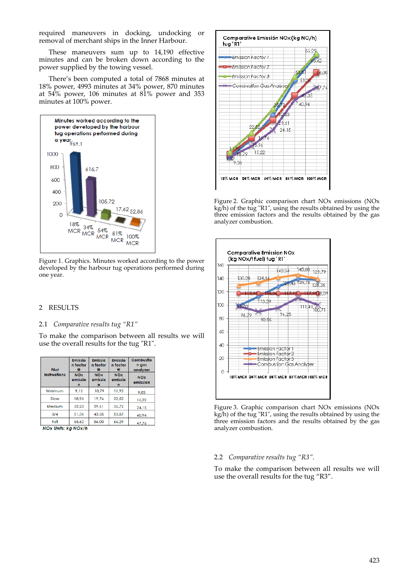required maneuvers in docking, undocking or removal of merchant ships in the Inner Harbour.

These maneuvers sum up to 14,190 effective minutes and can be broken down according to the power supplied by the towing vessel.

There's been computed a total of 7868 minutes at 18% power, 4993 minutes at 34% power, 870 minutes at 54% power, 106 minutes at 81% power and 353 minutes at 100% power.



Figure 1. Graphics. Minutes worked according to the power developed by the harbour tug operations performed during one year.

## 2 RESULTS

## 2.1 *Comparative results tug "R1"*

To make the comparison between all results we will use the overall results for the tug "R1".

| Pilot                 | Emissio<br>n factor<br>0   | Emissio<br>n factor<br>Θ   | Emissio<br>n factor<br>⊛   | Combustio<br>n gas<br>analyzer |
|-----------------------|----------------------------|----------------------------|----------------------------|--------------------------------|
| <b>Instructions</b>   | <b>NOx</b><br>emissio<br>n | <b>NOx</b><br>emissio<br>n | <b>NOx</b><br>emissio<br>n | <b>NOx</b><br>emission         |
| Minimum               | 9.12                       | 10.79                      | 11.92                      | 9,03                           |
| Slow                  | 18.96                      | 19.76                      | 22.52                      | 15,22                          |
| Medium                | 32.23                      | 29.61                      | 35.72                      | 24,15                          |
| 3/4                   | 51,36                      | 43.35                      | 53.57                      | 40,94                          |
| Full                  | 65.62                      | 56,00                      | 66.29                      | 47,76                          |
| NOY Ilnite: ka NOY Ih |                            |                            |                            |                                |

NOx Units: kg NOx/h



Figure 2. Graphic comparison chart NOx emissions (NOx kg/h) of the tug "R1", using the results obtained by using the three emission factors and the results obtained by the gas analyzer combustion.



Figure 3. Graphic comparison chart NOx emissions (NOx kg/h) of the tug "R1", using the results obtained by using the three emission factors and the results obtained by the gas analyzer combustion.

#### 2.2 *Comparative results tug "R3".*

To make the comparison between all results we will use the overall results for the tug "R3".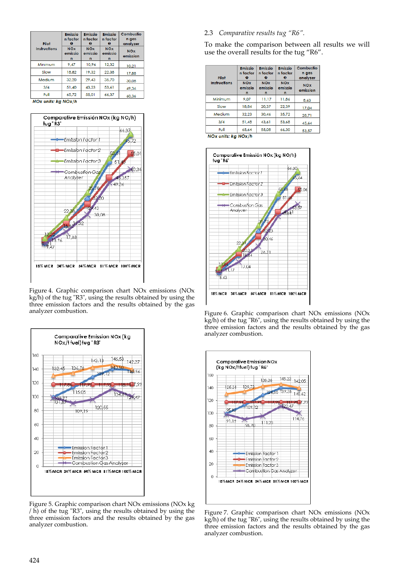| Pilot               | Emissio<br>n factor        | Emissio<br>n factor<br>o   | <b>Emissio</b><br>n factor<br>⊛ | Combustio<br>n gas<br>analyzer |
|---------------------|----------------------------|----------------------------|---------------------------------|--------------------------------|
| <b>Instructions</b> | <b>NOx</b><br>emissio<br>n | <b>NOx</b><br>emissio<br>n | <b>NOx</b><br>emissio<br>n      | <b>NOx</b><br>emission         |
| Minimum             | 9.47                       | 10.96                      | 12.32                           | 10.21                          |
| Slow                | 18,82                      | 19,32                      | 22,38                           | 17.88                          |
| Medium              | 32.20                      | 29,43                      | 35.70                           | 30.08                          |
| 3/4                 | 51,40                      | 43.23                      | 53.61                           | 49,36                          |
| Full                | 65.72                      | 55,01                      | 66,37                           | 40 Q.A                         |

NOx units: kg NOx/h



Figure 4. Graphic comparison chart NOx emissions (NOx kg/h) of the tug "R3", using the results obtained by using the three emission factors and the results obtained by the gas analyzer combustion.



Figure 5. Graphic comparison chart NOx emissions (NOx kg  $/$  h) of the tug "R3", using the results obtained by using the three emission factors and the results obtained by the gas analyzer combustion.

## 2.3 *Comparative results tug "R6".*

To make the comparison between all results we will use the overall results for the tug "R6".

| Pilot                                       | <b>Emissio</b><br>n factor<br>o | Emissio<br>n factor<br>ø   | <b>Emissio</b><br>n factor<br>ø | Combustio<br>n gas<br>analyzer |
|---------------------------------------------|---------------------------------|----------------------------|---------------------------------|--------------------------------|
| <b>Instructions</b>                         | <b>NOx</b><br>emissio<br>n      | <b>NOX</b><br>emissio<br>n | <b>NOx</b><br>emissio<br>n      | <b>NOX</b><br>emission         |
| Minimum                                     | 9.07                            | 11.17                      | 11.86                           | 8,63                           |
| Slow                                        | 18.84                           | 20.37                      | 22.39                           | 17.04                          |
| Medium                                      | 32.23                           | 30,46                      | 35.72                           | 28,71                          |
| 3/4                                         | 51,48                           | 43.61                      | 53.68                           | 45.64                          |
| Full<br><b>Alman continued and Alman Ha</b> | 65.64                           | 55,08                      | 66,30                           | 53,57                          |

NOx units: kg NOx/h







Figure 7. Graphic comparison chart NOx emissions (NOx kg/h) of the tug "R6", using the results obtained by using the three emission factors and the results obtained by the gas analyzer combustion.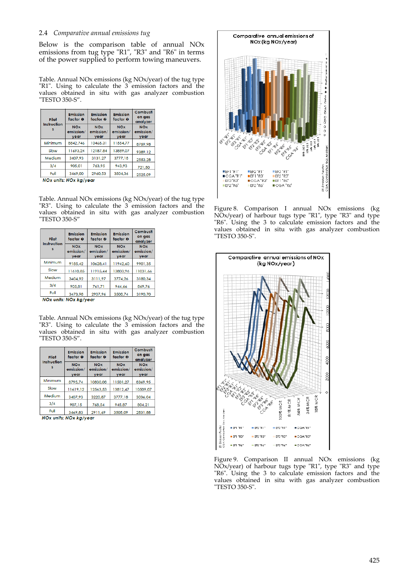### 2.4 *Comparative annual emissions tug*

Below is the comparison table of annual NOx emissions from tug type "R1", "R3" and "R6" in terms of the power supplied to perform towing maneuvers.

Table. Annual NOx emissions (kg NOx/year) of the tug type "R1". Using to calculate the 3 emission factors and the values obtained in situ with gas analyzer combustion ʺTESTO 350‐S".

| Pilot<br>Instruction | <b>Emission</b><br>factor 0     | <b>Emission</b><br>factor @     | Emission<br>factor O            | Combusti<br>on gas<br>analyzer  |
|----------------------|---------------------------------|---------------------------------|---------------------------------|---------------------------------|
|                      | <b>NOx</b><br>emission/<br>vear | <b>NOx</b><br>emission/<br>vear | <b>NOx</b><br>emission/<br>vear | <b>NOx</b><br>emission/<br>vear |
| Minimum              | 8842.746                        | 10465.31                        | 11554.77                        | 8759.98                         |
| Slow                 | 11693.24                        | 12187.84                        | 13889.07                        | 9389.12                         |
| Medium               | 3407.93                         | 3131.27                         | 3777.18                         | 2553.28                         |
| 3/4                  | 905.01                          | 763.95                          | 943.93                          | 721,50                          |
| Full                 | 3469,00                         | 2960,53                         | 3504,36                         | 2525.09                         |

NOx units: NOx kg/year

Table. Annual NOx emissions (kg NOx/year) of the tug type "R3". Using to calculate the 3 emission factors and the values obtained in situ with gas analyzer combustion ʺTESTO 350‐S"

| Pilot<br>Instruction | <b>Emission</b><br>factor 0     | <b>Emission</b><br>factor @     | <b>Emission</b><br>factor <sup>O</sup> | Combusti<br>on gas<br>analyzer  |
|----------------------|---------------------------------|---------------------------------|----------------------------------------|---------------------------------|
|                      | <b>NOx</b><br>emission/<br>year | <b>NOx</b><br>emission/<br>year | <b>NOx</b><br>emission/<br>year        | <b>NOx</b><br>emission/<br>year |
| Minimum              | 9185,42                         | 10628,41                        | 1942.60<br>1                           | 9901.35                         |
| Slow                 | 11610.85                        | 11915.44                        | 13803.96                               | 11031,66                        |
| Medium               | 3404.92                         | 3111.97                         | 3774.26                                | 3180.34                         |
| 3/4                  | 905,81                          | 761.71                          | 944.66                                 | 869,76                          |
| Full                 | 3473,98                         | 2907,96                         | 3508.74                                | 3190,70                         |

NOx units: NOx kg/year

Table. Annual NOx emissions (kg NOx/year) of the tug type "R3". Using to calculate the 3 emission factors and the values obtained in situ with gas analyzer combustion ʺTESTO 350‐S".

| Pilot<br>Instruction | <b>Emission</b><br>factor 0     | <b>Emission</b><br>factor @     | <b>Emission</b><br>factor @     | Combusti<br>on gas<br>analyzer  |
|----------------------|---------------------------------|---------------------------------|---------------------------------|---------------------------------|
|                      | <b>NOx</b><br>emission/<br>vear | <b>NOx</b><br>emission/<br>vear | <b>NOx</b><br>emission/<br>vear | <b>NOx</b><br>emission/<br>vear |
| Minimum              | 8795.74                         | 10830.08                        | 11501.27                        | 8369.95                         |
| Slow                 | 11619,12                        | 12563,53                        | 13812.47                        | 10509,07                        |
| Medium               | 3407,93                         | 3220,87                         | 3777,18                         | 3036,04                         |
| 3/4                  | 907,15                          | 768,54                          | 945,87                          | 804.21                          |
| Full                 | 3469.83                         | 2911.69                         | 3505,09                         | 2831,88                         |

NOx units: NOx kg/year



Figure 8. Comparison I annual NOx emissions (kg NOx/year) of harbour tugs type "R1", type "R3" and type ʺR6ʺ. Using the 3 to calculate emission factors and the values obtained in situ with gas analyzer combustion "TESTO 350-S".



Figure 9. Comparison II annual NOx emissions (kg NOx/year) of harbour tugs type "R1", type "R3" and type "R6". Using the 3 to calculate emission factors and the values obtained in situ with gas analyzer combustion "TESTO 350-S".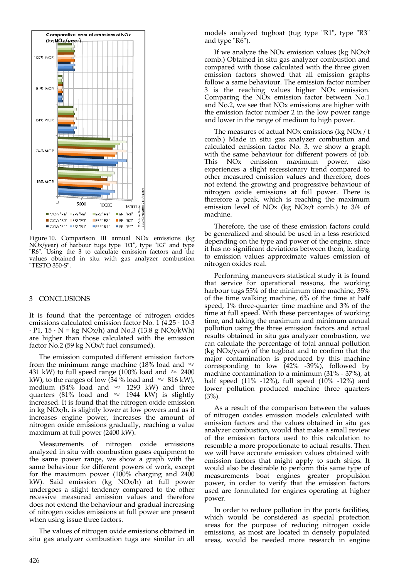

Figure 10. Comparison III annual NOx emissions (kg NOx/year) of harbour tugs type "R1", type "R3" and type ʺR6ʺ. Using the 3 to calculate emission factors and the values obtained in situ with gas analyzer combustion "TESTO 350-S".

#### 3 CONCLUSIONS

It is found that the percentage of nitrogen oxides emissions calculated emission factor No. 1 (4.25 ∙ 10‐3  $\cdot$  P1, 15  $\cdot$  N = kg NOx/h) and No.3 (13.8 g NOx/kWh) are higher than those calculated with the emission factor No.2 (59 kg NOx/t fuel consumed).

The emission computed different emission factors from the minimum range machine (18% load and  $\approx$ 431 kW) to full speed range (100% load and  $\approx 2400$ kW), to the ranges of low (34 % load and  $\approx 816$  kW), medium (54% load and  $\approx$  1293 kW) and three quarters (81% load and  $\approx$  1944 kW) is slightly increased. It is found that the nitrogen oxide emission in kg NOx/h, is slightly lower at low powers and as it increases engine power, increases the amount of nitrogen oxide emissions gradually, reaching a value maximum at full power (2400 kW).

Measurements of nitrogen oxide emissions analyzed in situ with combustion gases equipment to the same power range, we show a graph with the same behaviour for different powers of work, except for the maximum power (100% charging and 2400 kW). Said emission (kg NOx/h) at full power undergoes a slight tendency compared to the other recessive measured emission values and therefore does not extend the behaviour and gradual increasing of nitrogen oxides emissions at full power are present when using issue three factors.

The values of nitrogen oxide emissions obtained in situ gas analyzer combustion tugs are similar in all models analyzed tugboat (tug type "R1", type "R3" and type "R6").

If we analyze the NOx emission values (kg NOx/t comb.) Obtained in situ gas analyzer combustion and compared with those calculated with the three given emission factors showed that all emission graphs follow a same behaviour. The emission factor number 3 is the reaching values higher NOx emission. Comparing the NOx emission factor between No.1 and No.2, we see that NOx emissions are higher with the emission factor number 2 in the low power range and lower in the range of medium to high power.

The measures of actual NOx emissions (kg NOx / t comb.) Made in situ gas analyzer combustion and calculated emission factor No. 3, we show a graph with the same behaviour for different powers of job. This NOx emission maximum power, also experiences a slight recessionary trend compared to other measured emission values and therefore, does not extend the growing and progressive behaviour of nitrogen oxide emissions at full power. There is therefore a peak, which is reaching the maximum emission level of NOx (kg NOx/t comb.) to 3/4 of machine.

Therefore, the use of these emission factors could be generalized and should be used in a less restricted depending on the type and power of the engine, since it has no significant deviations between them, leading to emission values approximate values emission of nitrogen oxides real.

Performing maneuvers statistical study it is found that service for operational reasons, the working harbour tugs 55% of the minimum time machine,  $35\%$ of the time walking machine, 6% of the time at half speed, 1% three-quarter time machine and 3% of the time at full speed. With these percentages of working time, and taking the maximum and minimum annual pollution using the three emission factors and actual results obtained in situ gas analyzer combustion, we can calculate the percentage of total annual pollution (kg NOx/year) of the tugboat and to confirm that the major contamination is produced by this machine corresponding to low (42% ‐39%), followed by machine contamination to a minimum (31% ‐ 37%), at half speed (11% -12%), full speed (10% -12%) and lower pollution produced machine three quarters  $(3%)$ .

As a result of the comparison between the values of nitrogen oxides emission models calculated with emission factors and the values obtained in situ gas analyzer combustion, would that make a small review of the emission factors used to this calculation to resemble a more proportionate to actual results. Then we will have accurate emission values obtained with emission factors that might apply to such ships. It would also be desirable to perform this same type of measurements boat engines greater propulsion power, in order to verify that the emission factors used are formulated for engines operating at higher power.

In order to reduce pollution in the ports facilities, which would be considered as special protection areas for the purpose of reducing nitrogen oxide emissions, as most are located in densely populated areas, would be needed more research in engine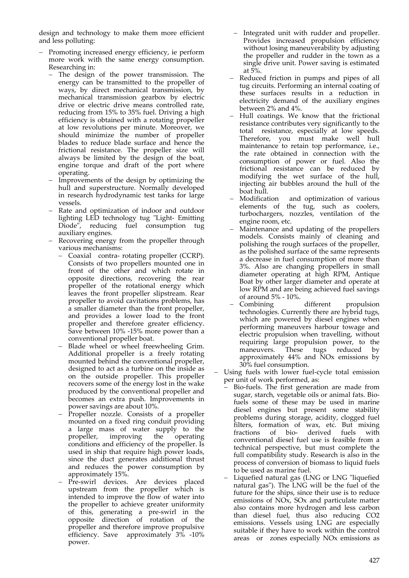design and technology to make them more efficient and less polluting:

- Promoting increased energy efficiency, ie perform more work with the same energy consumption. Researching in:
	- The design of the power transmission. The energy can be transmitted to the propeller of ways, by direct mechanical transmission, by mechanical transmission gearbox by electric drive or electric drive means controlled rate, reducing from 15% to 35% fuel. Driving a high efficiency is obtained with a rotating propeller at low revolutions per minute. Moreover, we should minimize the number of propeller blades to reduce blade surface and hence the frictional resistance. The propeller size will always be limited by the design of the boat, engine torque and draft of the port where operating.
	- Improvements of the design by optimizing the hull and superstructure. Normally developed in research hydrodynamic test tanks for large vessels.
	- Rate and optimization of indoor and outdoor lighting LED technology tug "Light- Emitting Diode", reducing fuel consumption tug auxiliary engines.
	- Recovering energy from the propeller through various mechanisms:
		- Coaxial contra- rotating propeller (CCRP). Consists of two propellers mounted one in front of the other and which rotate in opposite directions, recovering the rear propeller of the rotational energy which leaves the front propeller slipstream. Rear propeller to avoid cavitations problems, has a smaller diameter than the front propeller, and provides a lower load to the front propeller and therefore greater efficiency. Save between 10% ‐15% more power than a conventional propeller boat.
		- Blade wheel or wheel freewheeling Grim. Additional propeller is a freely rotating mounted behind the conventional propeller, designed to act as a turbine on the inside as on the outside propeller. This propeller recovers some of the energy lost in the wake produced by the conventional propeller and becomes an extra push. Improvements in power savings are about 10%.
		- Propeller nozzle. Consists of a propeller mounted on a fixed ring conduit providing a large mass of water supply to the propeller, improving the operating conditions and efficiency of the propeller. Is used in ship that require high power loads, since the duct generates additional thrust and reduces the power consumption by approximately 15%.
		- Pre-swirl devices. Are devices placed upstream from the propeller which is intended to improve the flow of water into the propeller to achieve greater uniformity of this, generating a pre‐swirl in the opposite direction of rotation of the propeller and therefore improve propulsive efficiency. Save approximately 3% -10% power.
- Integrated unit with rudder and propeller. Provides increased propulsion efficiency without losing maneuverability by adjusting the propeller and rudder in the town as a single drive unit. Power saving is estimated at 5%.
- Reduced friction in pumps and pipes of all tug circuits. Performing an internal coating of these surfaces results in a reduction in electricity demand of the auxiliary engines between 2% and 4%.
- Hull coatings. We know that the frictional resistance contributes very significantly to the total resistance, especially at low speeds. Therefore, you must make well hull maintenance to retain top performance, i.e., the rate obtained in connection with the consumption of power or fuel. Also the frictional resistance can be reduced by modifying the wet surface of the hull, injecting air bubbles around the hull of the boat hull.
- Modification and optimization of various elements of the tug, such as coolers, turbochargers, nozzles, ventilation of the engine room, etc.
- Maintenance and updating of the propellers models. Consists mainly of cleaning and polishing the rough surfaces of the propeller, as the polished surface of the same represents a decrease in fuel consumption of more than 3%. Also are changing propellers in small diameter operating at high RPM, Antique Boat by other larger diameter and operate at low RPM and are being achieved fuel savings of around 5% ‐ 10%.
- Combining different propulsion technologies. Currently there are hybrid tugs, which are powered by diesel engines when performing maneuvers harbour towage and electric propulsion when travelling, without requiring large propulsion power, to the maneuvers. These tugs reduced by approximately 44% and NOx emissions by 30% fuel consumption.
- Using fuels with lower fuel‐cycle total emission per unit of work performed, as:
	- Bio‐fuels. The first generation are made from sugar, starch, vegetable oils or animal fats. Bio‐ fuels some of these may be used in marine diesel engines but present some stability problems during storage, acidity, clogged fuel filters, formation of wax, etc. But mixing fractions of bio‐ derived fuels with conventional diesel fuel use is feasible from a technical perspective, but must complete the full compatibility study. Research is also in the process of conversion of biomass to liquid fuels to be used as marine fuel.
	- Liquefied natural gas (LNG or LNG "liquefied natural gas"). The LNG will be the fuel of the future for the ships, since their use is to reduce emissions of NOx, SOx and particulate matter also contains more hydrogen and less carbon than diesel fuel, thus also reducing CO2 emissions. Vessels using LNG are especially suitable if they have to work within the control areas or zones especially NO<sub>x</sub> emissions as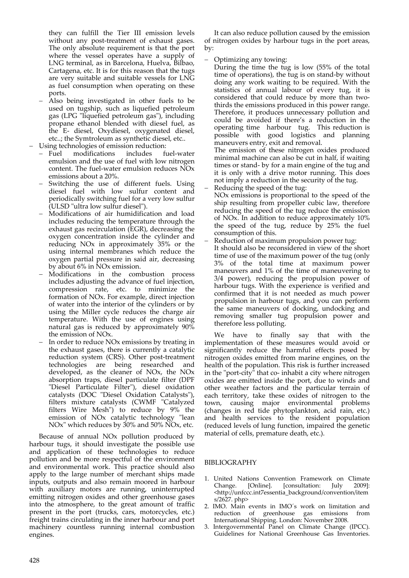they can fulfill the Tier III emission levels without any post-treatment of exhaust gases. The only absolute requirement is that the port where the vessel operates have a supply of LNG terminal, as in Barcelona, Huelva, Bilbao, Cartagena, etc. It is for this reason that the tugs are very suitable and suitable vessels for LNG as fuel consumption when operating on these ports.

 Also being investigated in other fuels to be used on tugship, such as liquefied petroleum gas (LPG "liquefied petroleum gas"), including propane ethanol blended with diesel fuel, as the E‐ diesel, Oxydiesel, oxygenated diesel, etc..; the Symtroleum as synthetic diesel, etc..

Using technologies of emission reduction:

- Fuel modifications includes fuel-water emulsion and the use of fuel with low nitrogen content. The fuel-water emulsion reduces NO<sub>x</sub> emissions about a 20%.
- Switching the use of different fuels. Using diesel fuel with low sulfur content and periodically switching fuel for a very low sulfur (ULSD "ultra low sulfur diesel").
- Modifications of air humidification and load includes reducing the temperature through the exhaust gas recirculation (EGR), decreasing the oxygen concentration inside the cylinder and reducing NOx in approximately 35% or the using internal membranes which reduce the oxygen partial pressure in said air, decreasing by about 6% in NOx emission.
- Modifications in the combustion process includes adjusting the advance of fuel injection, compression rate, etc. to minimize the formation of NOx. For example, direct injection of water into the interior of the cylinders or by using the Miller cycle reduces the charge air temperature. With the use of engines using natural gas is reduced by approximately 90% the emission of NOx.
- In order to reduce NOx emissions by treating in the exhaust gases, there is currently a catalytic reduction system (CRS). Other post-treatment technologies are being researched and developed, as the cleaner of NOx, the NOx absorption traps, diesel particulate filter (DPF "Diesel Particulate Filter"), diesel oxidation catalysts (DOC "Diesel Oxidation Catalysts"), filters mixture catalysts (CWMF "Catalyzed filters Wire Mesh<sup>"</sup>) to reduce by  $9\%$  the emission of NO<sub>x</sub> catalytic technology "lean NOx<sup>"</sup> which reduces by 30% and 50% NO<sub>x</sub>, etc.

Because of annual NOx pollution produced by harbour tugs, it should investigate the possible use and application of these technologies to reduce pollution and be more respectful of the environment and environmental work. This practice should also apply to the large number of merchant ships made inputs, outputs and also remain moored in harbour with auxiliary motors are running, uninterrupted emitting nitrogen oxides and other greenhouse gases into the atmosphere, to the great amount of traffic present in the port (trucks, cars, motorcycles, etc.) freight trains circulating in the inner harbour and port machinery countless running internal combustion engines.

It can also reduce pollution caused by the emission of nitrogen oxides by harbour tugs in the port areas, by:

Optimizing any towing:

During the time the tug is low (55% of the total time of operations), the tug is on stand‐by without doing any work waiting to be required. With the statistics of annual labour of every tug, it is considered that could reduce by more than two‐ thirds the emissions produced in this power range. Therefore, it produces unnecessary pollution and could be avoided if there's a reduction in the operating time harbour tug. This reduction is possible with good logistics and planning maneuvers entry, exit and removal.

The emission of these nitrogen oxides produced minimal machine can also be cut in half, if waiting times or stand‐ by for a main engine of the tug and it is only with a drive motor running. This does not imply a reduction in the security of the tug. Reducing the speed of the tug:

NOx emissions is proportional to the speed of the ship resulting from propeller cubic law, therefore reducing the speed of the tug reduce the emission of NOx. In addition to reduce approximately 10% the speed of the tug, reduce by 25% the fuel consumption of this.

 Reduction of maximum propulsion power tug: It should also be reconsidered in view of the short time of use of the maximum power of the tug (only 3% of the total time at maximum power maneuvers and 1% of the time of maneuvering to 3/4 power), reducing the propulsion power of harbour tugs. With the experience is verified and confirmed that it is not needed as much power propulsion in harbour tugs, and you can perform the same maneuvers of docking, undocking and removing smaller tug propulsion power and therefore less polluting.

We have to finally say that with the implementation of these measures would avoid or significantly reduce the harmful effects posed by nitrogen oxides emitted from marine engines, on the health of the population. This risk is further increased in the "port-city" that co- inhabit a city where nitrogen oxides are emitted inside the port, due to winds and other weather factors and the particular terrain of each territory, take these oxides of nitrogen to the town, causing major environmental problems town, causing major environmental (changes in red tide phytoplankton, acid rain, etc.) and health services to the resident population (reduced levels of lung function, impaired the genetic material of cells, premature death, etc.).

## BIBLIOGRAPHY

- 1. United Nations Convention Framework on Climate<br>Change. [Online]. [consultation: July 2009]: Change. [Online]. [consultation: July 2009]: <http://unfccc.int7essentia\_background/convention/item s/2627. php>
- 2. IMO. Main events in IMO´s work on limitation and reduction of greenhouse gas emissions from International Shipping. London: November 2008.
- Intergovernmental Panel on Climate Change (IPCC). Guidelines for National Greenhouse Gas Inventories.